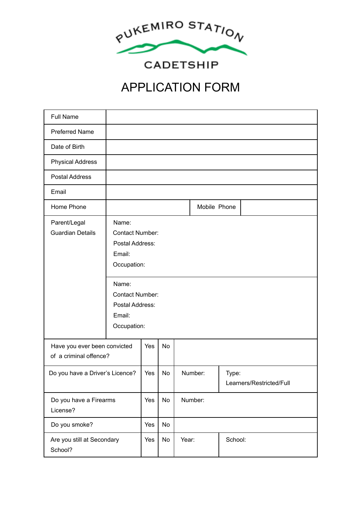

**CADETSHIP** 

## APPLICATION FORM

| <b>Full Name</b>                                       |                                                                                                                                                            |     |           |         |                                   |
|--------------------------------------------------------|------------------------------------------------------------------------------------------------------------------------------------------------------------|-----|-----------|---------|-----------------------------------|
| <b>Preferred Name</b>                                  |                                                                                                                                                            |     |           |         |                                   |
| Date of Birth                                          |                                                                                                                                                            |     |           |         |                                   |
| <b>Physical Address</b>                                |                                                                                                                                                            |     |           |         |                                   |
| <b>Postal Address</b>                                  |                                                                                                                                                            |     |           |         |                                   |
| Email                                                  |                                                                                                                                                            |     |           |         |                                   |
| Home Phone                                             |                                                                                                                                                            |     |           |         | Mobile Phone                      |
| Parent/Legal<br><b>Guardian Details</b>                | Name:<br><b>Contact Number:</b><br>Postal Address:<br>Email:<br>Occupation:<br>Name:<br><b>Contact Number:</b><br>Postal Address:<br>Email:<br>Occupation: |     |           |         |                                   |
| Have you ever been convicted<br>of a criminal offence? |                                                                                                                                                            | Yes | <b>No</b> |         |                                   |
| Do you have a Driver's Licence?                        |                                                                                                                                                            | Yes | No        | Number: | Type:<br>Learners/Restricted/Full |
| Do you have a Firearms<br>License?                     |                                                                                                                                                            | Yes | No        | Number: |                                   |
| Do you smoke?                                          |                                                                                                                                                            | Yes | No        |         |                                   |
| Are you still at Secondary<br>School?                  |                                                                                                                                                            | Yes | No        | Year:   | School:                           |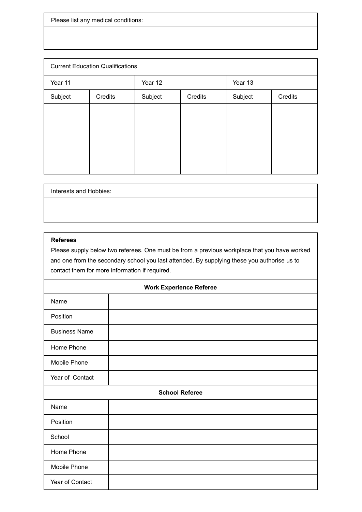Please list any medical conditions:

| <b>Current Education Qualifications</b> |         |         |         |         |         |
|-----------------------------------------|---------|---------|---------|---------|---------|
| Year 11                                 |         | Year 12 |         | Year 13 |         |
| Subject                                 | Credits | Subject | Credits | Subject | Credits |
|                                         |         |         |         |         |         |
|                                         |         |         |         |         |         |
|                                         |         |         |         |         |         |
|                                         |         |         |         |         |         |
|                                         |         |         |         |         |         |

| Interests and Hobbies: |  |
|------------------------|--|
|                        |  |

## **Referees**

Please supply below two referees. One must be from a previous workplace that you have worked and one from the secondary school you last attended. By supplying these you authorise us to contact them for more information if required.

| <b>Work Experience Referee</b> |  |  |  |
|--------------------------------|--|--|--|
| Name                           |  |  |  |
| Position                       |  |  |  |
| <b>Business Name</b>           |  |  |  |
| Home Phone                     |  |  |  |
| Mobile Phone                   |  |  |  |
| Year of Contact                |  |  |  |
| <b>School Referee</b>          |  |  |  |
| Name                           |  |  |  |
| Position                       |  |  |  |
| School                         |  |  |  |
| Home Phone                     |  |  |  |
| Mobile Phone                   |  |  |  |
| Year of Contact                |  |  |  |